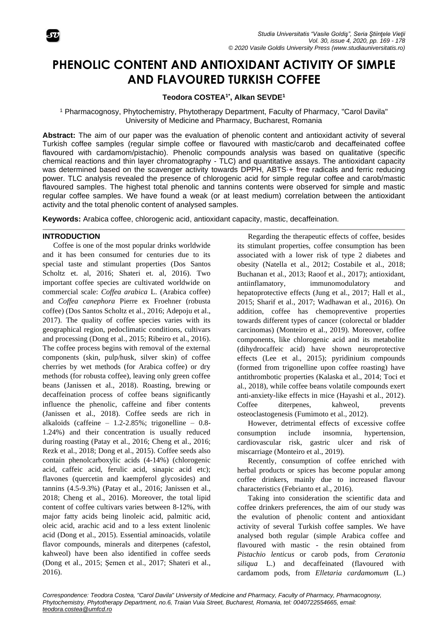

# **PHENOLIC CONTENT AND ANTIOXIDANT ACTIVITY OF SIMPLE AND FLAVOURED TURKISH COFFEE**

# **Teodora COSTEA1\* , Alkan SEVDE<sup>1</sup>**

<sup>1</sup> Pharmacognosy, Phytochemistry, Phytotherapy Department, Faculty of Pharmacy, "Carol Davila" University of Medicine and Pharmacy, Bucharest, Romania

**Abstract:** The aim of our paper was the evaluation of phenolic content and antioxidant activity of several Turkish coffee samples (regular simple coffee or flavoured with mastic/carob and decaffeinated coffee flavoured with cardamom/pistachio). Phenolic compounds analysis was based on qualitative (specific chemical reactions and thin layer chromatography - TLC) and quantitative assays. The antioxidant capacity was determined based on the scavenger activity towards DPPH, ABTS + free radicals and ferric reducing power. TLC analysis revealed the presence of chlorogenic acid for simple regular coffee and carob/mastic flavoured samples. The highest total phenolic and tannins contents were observed for simple and mastic regular coffee samples. We have found a weak (or at least medium) correlation between the antioxidant activity and the total phenolic content of analysed samples.

**Keywords:** Arabica coffee, chlorogenic acid, antioxidant capacity, mastic, decaffeination.

#### **INTRODUCTION**

Coffee is one of the most popular drinks worldwide and it has been consumed for centuries due to its special taste and stimulant properties (Dos Santos Scholtz et. al, 2016; Shateri et. al, 2016). Two important coffee species are cultivated worldwide on commercial scale: *Coffea arabica* L. (Arabica coffee) and *Coffea canephora* Pierre ex Froehner (robusta coffee) (Dos Santos Scholtz et al., 2016; Adepoju et al., 2017). The quality of coffee species varies with its geographical region, pedoclimatic conditions, cultivars and processing (Dong et al., 2015; Ribeiro et al., 2016). The coffee process begins with removal of the external components (skin, pulp/husk, silver skin) of coffee cherries by wet methods (for Arabica coffee) or dry methods (for robusta coffee), leaving only green coffee beans (Janissen et al., 2018). Roasting, brewing or decaffeination process of coffee beans significantly influence the phenolic, caffeine and fiber contents (Janissen et al., 2018). Coffee seeds are rich in alkaloids (caffeine – 1.2-2.85%; trigonelline – 0.8- 1.24%) and their concentration is usually reduced during roasting (Patay et al., 2016; Cheng et al., 2016; Rezk et al., 2018; Dong et al., 2015). Coffee seeds also contain phenolcarboxylic acids (4-14%) (chlorogenic acid, caffeic acid, ferulic acid, sinapic acid etc); flavones (quercetin and kaempferol glycosides) and tannins (4.5-9.3%) (Patay et al., 2016; Janissen et al., 2018; Cheng et al., 2016). Moreover, the total lipid content of coffee cultivars varies between 8-12%, with major fatty acids being linoleic acid, palmitic acid, oleic acid, arachic acid and to a less extent linolenic acid (Dong et al., 2015). Essential aminoacids, volatile flavor compounds, minerals and diterpenes (cafestol, kahweol) have been also identified in coffee seeds (Dong et al., 2015; Şemen et al., 2017; Shateri et al., 2016).

Regarding the therapeutic effects of coffee, besides its stimulant properties, coffee consumption has been associated with a lower risk of type 2 diabetes and obesity (Natella et al., 2012; Costabile et al., 2018; Buchanan et al., 2013; Raoof et al., 2017); antioxidant, antiinflamatory, immunomodulatory and hepatoprotective effects (Jung et al., 2017; Hall et al., 2015; Sharif et al., 2017; Wadhawan et al., 2016). On addition, coffee has chemopreventive properties towards different types of cancer (colorectal or bladder carcinomas) (Monteiro et al., 2019). Moreover, coffee components, like chlorogenic acid and its metabolite (dihydrocaffeic acid) have shown neuroprotective effects (Lee et al., 2015); pyridinium compounds (formed from trigonelline upon coffee roasting) have antithrombotic properties (Kalaska et al., 2014; Toci et al., 2018), while coffee beans volatile compounds exert anti-anxiety-like effects in mice (Hayashi et al., 2012). Coffee diterpenes, kahweol, prevents osteoclastogenesis (Fumimoto et al., 2012).

However, detrimental effects of excessive coffee consumption include insomnia, hypertension, cardiovascular risk, gastric ulcer and risk of miscarriage (Monteiro et al., 2019).

Recently, consumption of coffee enriched with herbal products or spices has become popular among coffee drinkers, mainly due to increased flavour characteristics (Febrianto et al., 2016).

Taking into consideration the scientific data and coffee drinkers preferences, the aim of our study was the evalution of phenolic content and antioxidant activity of several Turkish coffee samples. We have analysed both regular (simple Arabica coffee and flavoured with mastic - the resin obtained from *Pistachio lenticus* or carob pods, from *Ceratonia siliqua* L.) and decaffeinated (flavoured with cardamom pods, from *Elletaria cardamomum* (L.)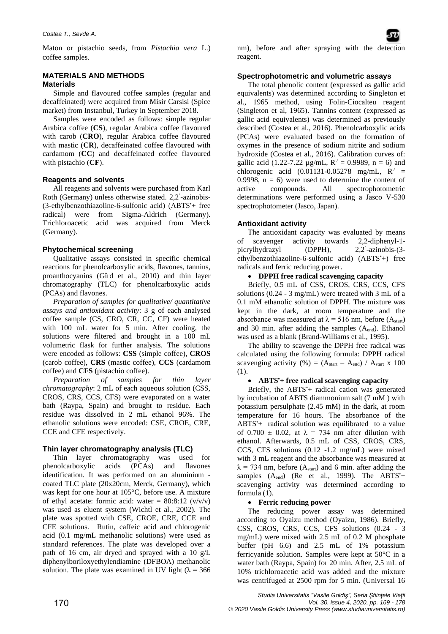Maton or pistachio seeds, from *Pistachia vera* L.) coffee samples.

## **MATERIALS AND METHODS Materials**

Simple and flavoured coffee samples (regular and decaffeinated) were acquired from Misir Carsisi (Spice market) from Instanbul, Turkey in September 2018.

Samples were encoded as follows: simple regular Arabica coffee (**CS**), regular Arabica coffee flavoured with carob (**CRO**), regular Arabica coffee flavoured with mastic (CR), decaffeinated coffee flavoured with cardamom (**CC**) and decaffeinated coffee flavoured with pistachio (**CF**).

## **Reagents and solvents**

All reagents and solvents were purchased from Karl Roth (Germany) unless otherwise stated. 2,2' -azinobis- (3-ethylbenzothiazoline-6-sulfonic acid) (ABTS•+ free radical) were from Sigma-Aldrich (Germany). Trichloroacetic acid was acquired from Merck (Germany).

## **Phytochemical screening**

Qualitative assays consisted in specific chemical reactions for phenolcarboxylic acids, flavones, tannins, proanthocyanins (Gîrd et al., 2010) and thin layer chromatography (TLC) for phenolcarboxylic acids (PCAs) and flavones.

*Preparation of samples for qualitative/ quantitative assays and antioxidant activity*: 3 g of each analysed coffee sample (CS, CRO, CR, CC, CF) were heated with 100 mL water for 5 min. After cooling, the solutions were filtered and brought in a 100 mL volumetric flask for further analysis. The solutions were encoded as follows: **CSS** (simple coffee), **CROS** (carob coffee), **CRS** (mastic coffee), **CCS** (cardamom coffee) and **CFS** (pistachio coffee).

*Preparation of samples for thin layer chromatography*: 2 mL of each aqueous solution (CSS, CROS, CRS, CCS, CFS) were evaporated on a water bath (Raypa, Spain) and brought to residue. Each residue was dissolved in 2 mL ethanol 96%. The ethanolic solutions were encoded: CSE, CROE, CRE, CCE and CFE respectively.

## **Thin layer chromatography analysis (TLC)**

Thin layer chromatography was used for phenolcarboxylic acids (PCAs) and flavones identification. It was performed on an aluminium coated TLC plate (20x20cm, Merck, Germany), which was kept for one hour at 105°C, before use. A mixture of ethyl acetate: formic acid: water =  $80:8:12 \frac{(v/v)}{v}$ was used as eluent system (Wichtl et al., 2002). The plate was spotted with CSE, CROE, CRE, CCE and CFE solutions. Rutin, caffeic acid and chlorogenic acid (0.1 mg/mL methanolic solutions) were used as standard references. The plate was developed over a path of 16 cm, air dryed and sprayed with a 10 g/L diphenylboriloxyethylendiamine (DFBOA) methanolic solution. The plate was examined in UV light ( $\lambda = 366$ ) nm), before and after spraying with the detection reagent.

## **Spectrophotometric and volumetric assays**

The total phenolic content (expressed as gallic acid equivalents) was determined according to Singleton et al., 1965 method, using Folin-Ciocalteu reagent (Singleton et al, 1965). Tannins content (expressed as gallic acid equivalents) was determined as previously described (Costea et al., 2016). Phenolcarboxylic acids (PCAs) were evaluated based on the formation of oxymes in the presence of sodium nitrite and sodium hydroxide (Costea et al., 2016). Calibration curves of: gallic acid (1.22-7.22  $\mu$ g/mL, R<sup>2</sup> = 0.9989, n = 6) and chlorogenic acid  $(0.01131 - 0.05278$  mg/mL,  $R^2$  = 0.9998,  $n = 6$ ) were used to determine the content of active compounds. All spectrophotometric determinations were performed using a Jasco V-530 spectrophotometer (Jasco, Japan).

### **Antioxidant activity**

The antioxidant capacity was evaluated by means of scavenger activity towards 2,2-diphenyl-1 picrylhydrazyl (DPPH),  $2,2$ -azinobis- $(3$ ethylbenzothiazoline-6-sulfonic acid) (ABTS+) free radicals and ferric reducing power.

#### • **DPPH free radical scavenging capacity**

Briefly, 0.5 mL of CSS, CROS, CRS, CCS, CFS solutions (0.24 - 3 mg/mL) were treated with 3 mL of a 0.1 mM ethanolic solution of DPPH. The mixture was kept in the dark, at room temperature and the absorbance was measured at  $\lambda = 516$  nm, before (Astart) and 30 min. after adding the samples (Aend). Ethanol was used as a blank (Brand-Williams et al., 1995).

The ability to scavenge the DPPH free radical was calculated using the following formula: DPPH radical scavenging activity (%) =  $(A<sub>start</sub> - A<sub>end</sub>) / A<sub>start</sub> x 100$ (1).

#### • **ABTS•+ free radical scavenging capacity**

Briefly, the ABTS<sup>++</sup> radical cation was generated by incubation of ABTS diammonium salt (7 mM ) with potassium persulphate (2.45 mM) in the dark, at room temperature for 16 hours. The absorbance of the ABTS<sup>+</sup> radical solution was equilibrated to a value of 0.700  $\pm$  0.02, at  $\lambda$  = 734 nm after dilution with ethanol. Afterwards, 0.5 mL of CSS, CROS, CRS, CCS, CFS solutions (0.12 -1.2 mg/mL) were mixed with 3 mL reagent and the absorbance was measured at  $\lambda$  = 734 nm, before (A<sub>start</sub>) and 6 min. after adding the samples (A<sub>end</sub>) (Re et al., 1999). The ABTS<sup>+</sup>+ scavenging activity was determined according to formula (1).

#### • **Ferric reducing power**

The reducing power assay was determined according to Oyaizu method (Oyaizu, 1986). Briefly, CSS, CROS, CRS, CCS, CFS solutions (0.24 - 3 mg/mL) were mixed with 2.5 mL of 0.2 M phosphate buffer (pH 6.6) and 2.5 mL of 1% potassium ferricyanide solution. Samples were kept at 50°C in a water bath (Raypa, Spain) for 20 min. After, 2.5 mL of 10% trichloroacetic acid was added and the mixture was centrifuged at 2500 rpm for 5 min. (Universal 16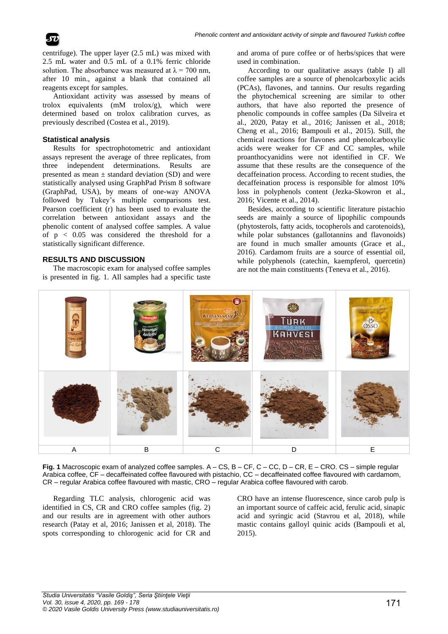

centrifuge). The upper layer (2.5 mL) was mixed with 2.5 mL water and 0.5 mL of a 0.1% ferric chloride solution. The absorbance was measured at  $\lambda = 700$  nm, after 10 min., against a blank that contained all reagents except for samples.

Antioxidant activity was assessed by means of trolox equivalents (mM trolox/g), which were determined based on trolox calibration curves, as previously described (Costea et al., 2019).

#### **Statistical analysis**

Results for spectrophotometric and antioxidant assays represent the average of three replicates, from three independent determinations. Results are presented as mean  $\pm$  standard deviation (SD) and were statistically analysed using GraphPad Prism 8 software (GraphPad, USA), by means of one-way ANOVA followed by Tukey's multiple comparisons test. Pearson coefficient (r) has been used to evaluate the correlation between antioxidant assays and the phenolic content of analysed coffee samples. A value of p < 0.05 was considered the threshold for a statistically significant difference.

#### **RESULTS AND DISCUSSION**

The macroscopic exam for analysed coffee samples is presented in fig. 1. All samples had a specific taste

and aroma of pure coffee or of herbs/spices that were used in combination.

According to our qualitative assays (table I) all coffee samples are a source of phenolcarboxylic acids (PCAs), flavones, and tannins. Our results regarding the phytochemical screening are similar to other authors, that have also reported the presence of phenolic compounds in coffee samples (Da Silveira et al., 2020, Patay et al., 2016; Janissen et al., 2018; Cheng et al., 2016; Bampouli et al., 2015). Still, the chemical reactions for flavones and phenolcarboxylic acids were weaker for CF and CC samples, while proanthocyanidins were not identified in CF. We assume that these results are the consequence of the decaffeination process. According to recent studies, the decaffeination process is responsible for almost 10% loss in polyphenols content (Jezka-Skowron et al., 2016; Vicente et al., 2014).

Besides, according to scientific literature pistachio seeds are mainly a source of lipophilic compounds (phytosterols, fatty acids, tocopherols and carotenoids), while polar substances (gallotannins and flavonoids) are found in much smaller amounts (Grace et al., 2016). Cardamom fruits are a source of essential oil, while polyphenols (catechin, kaempferol, quercetin) are not the main constituents (Teneva et al., 2016).



**Fig. 1** Macroscopic exam of analyzed coffee samples. A – CS, B – CF, C – CC, D – CR, E – CRO. CS – simple regular Arabica coffee, CF – decaffeinated coffee flavoured with pistachio, CC – decaffeinated coffee flavoured with cardamom, CR – regular Arabica coffee flavoured with mastic, CRO – regular Arabica coffee flavoured with carob.

Regarding TLC analysis, chlorogenic acid was identified in CS, CR and CRO coffee samples (fig. 2) and our results are in agreement with other authors research (Patay et al, 2016; Janissen et al, 2018). The spots corresponding to chlorogenic acid for CR and

CRO have an intense fluorescence, since carob pulp is an important source of caffeic acid, ferulic acid, sinapic acid and syringic acid (Stavrou et al, 2018), while mastic contains galloyl quinic acids (Bampouli et al, 2015).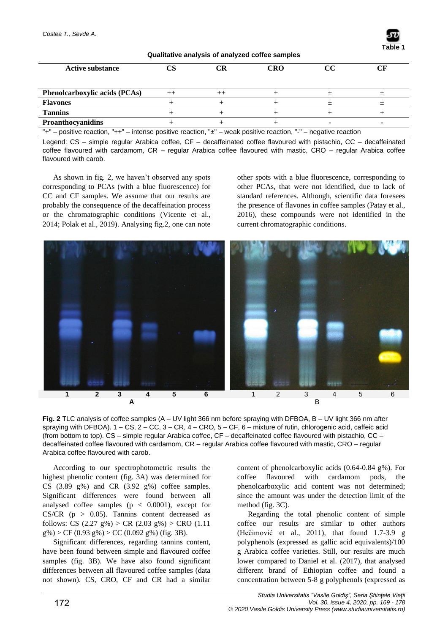| Qualitative analysis of analyzed coffee samples                                                                        |         |  |     |    |  |  |  |
|------------------------------------------------------------------------------------------------------------------------|---------|--|-----|----|--|--|--|
| <b>Active substance</b>                                                                                                | CS      |  | CRO | CC |  |  |  |
| <b>Phenolcarboxylic acids (PCAs)</b>                                                                                   | $^{++}$ |  |     |    |  |  |  |
| <b>Flavones</b>                                                                                                        |         |  |     |    |  |  |  |
| <b>Tannins</b>                                                                                                         |         |  |     |    |  |  |  |
| <b>Proanthocyanidins</b>                                                                                               |         |  |     |    |  |  |  |
| "+" – positive reaction, "++" – intense positive reaction, " $\pm$ " – weak positive reaction, "-" – negative reaction |         |  |     |    |  |  |  |

Legend: CS – simple regular Arabica coffee, CF – decaffeinated coffee flavoured with pistachio, CC – decaffeinated

coffee flavoured with cardamom, CR – regular Arabica coffee flavoured with mastic, CRO – regular Arabica coffee flavoured with carob.

As shown in fig. 2, we haven't observed any spots corresponding to PCAs (with a blue fluorescence) for CC and CF samples. We assume that our results are probably the consequence of the decaffeination process or the chromatographic conditions (Vicente et al., 2014; Polak et al., 2019). Analysing fig.2, one can note other spots with a blue fluorescence, corresponding to other PCAs, that were not identified, due to lack of standard references. Although, scientific data foresees the presence of flavones in coffee samples (Patay et al., 2016), these compounds were not identified in the current chromatographic conditions.

**Table 1**



**Fig. 2** TLC analysis of coffee samples (A – UV light 366 nm before spraying with DFBOA, B – UV light 366 nm after spraying with DFBOA). 1 – CS, 2 – CC, 3 – CR, 4 – CRO, 5 – CF, 6 – mixture of rutin, chlorogenic acid, caffeic acid (from bottom to top). CS – simple regular Arabica coffee, CF – decaffeinated coffee flavoured with pistachio, CC – decaffeinated coffee flavoured with cardamom, CR – regular Arabica coffee flavoured with mastic, CRO – regular Arabica coffee flavoured with carob.

According to our spectrophotometric results the highest phenolic content (fig. 3A) was determined for CS (3.89 g%) and CR (3.92 g%) coffee samples. Significant differences were found between all analysed coffee samples  $(p < 0.0001)$ , except for CS/CR  $(p > 0.05)$ . Tannins content decreased as follows: CS  $(2.27 \text{ g\%})$  > CR  $(2.03 \text{ g\%})$  > CRO  $(1.11$  $g\%$ ) > CF (0.93 g%) > CC (0.092 g%) (fig. 3B).

Significant differences, regarding tannins content, have been found between simple and flavoured coffee samples (fig. 3B). We have also found significant differences between all flavoured coffee samples (data not shown). CS, CRO, CF and CR had a similar

content of phenolcarboxylic acids (0.64-0.84 g%). For coffee flavoured with cardamom pods, the phenolcarboxylic acid content was not determined; since the amount was under the detection limit of the method (fig. 3C).

Regarding the total phenolic content of simple coffee our results are similar to other authors (Hečimović et al., 2011), that found 1.7-3.9 g polyphenols (expressed as gallic acid equivalents)/100 g Arabica coffee varieties. Still, our results are much lower compared to Daniel et al. (2017), that analysed different brand of Ethiopian coffee and found a concentration between 5-8 g polyphenols (expressed as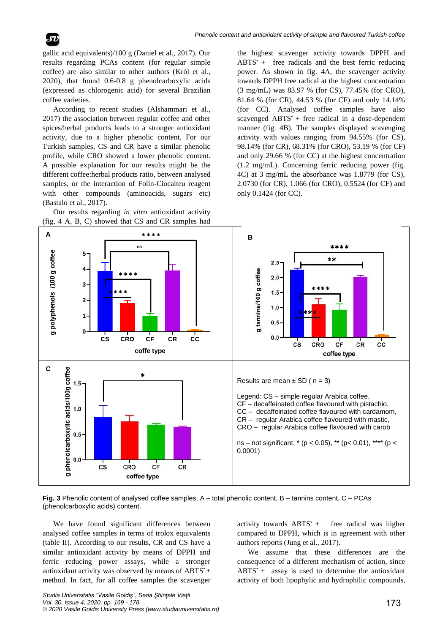gallic acid equivalents)/100 g (Daniel et al., 2017). Our results regarding PCAs content (for regular simple coffee) are also similar to other authors (Król et al., 2020), that found 0.6-0.8 g phenolcarboxylic acids (expressed as chlorogenic acid) for several Brazilian coffee varieties.

According to recent studies (Alshammari et al., 2017) the association between regular coffee and other spices/herbal products leads to a stronger antioxidant activity, due to a higher phenolic content. For our Turkish samples, CS and CR have a similar phenolic profile, while CRO showed a lower phenolic content. A possible explanation for our results might be the different coffee:herbal products ratio, between analysed samples, or the interaction of Folin-Ciocalteu reagent with other compounds (aminoacids, sugars etc) (Bastalo et al., 2017).



the highest scavenger activity towards DPPH and  $ABTS' +$  free radicals and the best ferric reducing power. As shown in fig. 4A, the scavenger activity towards DPPH free radical at the highest concentration (3 mg/mL) was 83.97 % (for CS), 77.45% (for CRO), 81.64 % (for CR), 44.53 % (for CF) and only 14.14% (for CC). Analysed coffee samples have also scavenged ABTS<sup>+</sup> + free radical in a dose-dependent manner (fig. 4B). The samples displayed scavenging activity with values ranging from 94.55% (for CS), 98.14% (for CR), 68.31% (for CRO), 53.19 % (for CF) and only 29.66 % (for CC) at the highest concentration (1.2 mg/mL). Concerning ferric reducing power (fig. 4C) at 3 mg/mL the absorbance was 1.8779 (for CS), 2.0730 (for CR), 1.066 (for CRO), 0.5524 (for CF) and only 0.1424 (for CC).



**Fig. 3** Phenolic content of analysed coffee samples. A – total phenolic content, B – tannins content, C – PCAs (phenolcarboxylic acids) content.

We have found significant differences between analysed coffee samples in terms of trolox equivalents (table II). According to our results, CR and CS have a similar antioxidant activity by means of DPPH and ferric reducing power assays, while a stronger antioxidant activity was observed by means of ABTS<sup>+</sup> + method. In fact, for all coffee samples the scavenger activity towards  $ABTS^+$  free radical was higher compared to DPPH, which is in agreement with other authors reports (Jung et al., 2017).

We assume that these differences are the consequence of a different mechanism of action, since  $ABTS' +$  assay is used to determine the antioxidant activity of both lipophylic and hydrophilic compounds,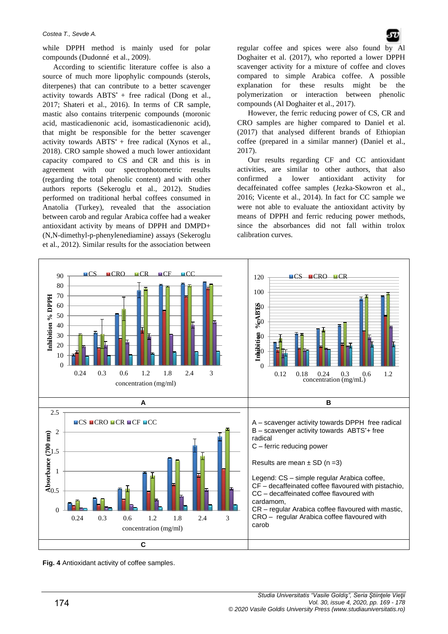#### *Costea T., Sevde A.*

while DPPH method is mainly used for polar compounds (Dudonné et al., 2009).

According to scientific literature coffee is also a source of much more lipophylic compounds (sterols, diterpenes) that can contribute to a better scavenger activity towards  $ABTS' + free$  radical (Dong et al., 2017; Shateri et al., 2016). In terms of CR sample, mastic also contains triterpenic compounds (moronic acid, masticadienonic acid, isomasticadienonic acid), that might be responsible for the better scavenger activity towards  $ABTS^*$  + free radical (Xynos et al., 2018). CRO sample showed a much lower antioxidant capacity compared to CS and CR and this is in agreement with our spectrophotometric results (regarding the total phenolic content) and with other authors reports (Sekeroglu et al., 2012). Studies performed on traditional herbal coffees consumed in Anatolia (Turkey), revealed that the association between carob and regular Arabica coffee had a weaker antioxidant activity by means of DPPH and DMPD+ (N,N-dimethyl-p-phenylenediamine) assays (Sekeroglu et al., 2012). Similar results for the association between

regular coffee and spices were also found by Al Doghaiter et al. (2017), who reported a lower DPPH scavenger activity for a mixture of coffee and cloves compared to simple Arabica coffee. A possible explanation for these results might be the polymerization or interaction between phenolic compounds (Al Doghaiter et al., 2017).

However, the ferric reducing power of CS, CR and CRO samples are higher compared to Daniel et al. (2017) that analysed different brands of Ethiopian coffee (prepared in a similar manner) (Daniel et al., 2017).

Our results regarding CF and CC antioxidant activities, are similar to other authors, that also confirmed a lower antioxidant activity for decaffeinated coffee samples (Jezka-Skowron et al., 2016; Vicente et al., 2014). In fact for CC sample we were not able to evaluate the antioxidant activity by means of DPPH and ferric reducing power methods, since the absorbances did not fall within trolox calibration curves.



**Fig. 4** Antioxidant activity of coffee samples.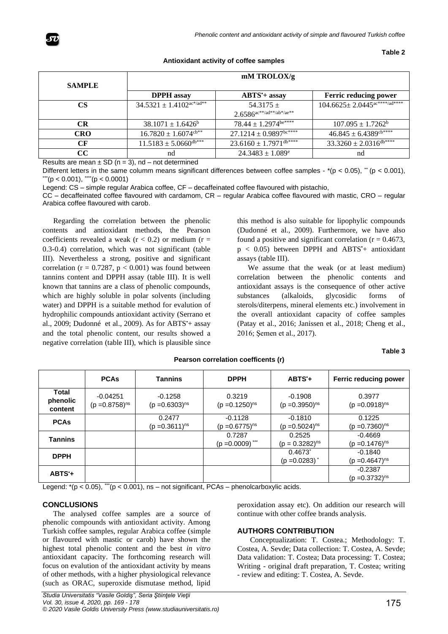

| Antioxidant activity of coffee samples |  |
|----------------------------------------|--|
|----------------------------------------|--|

**Table 2**

| <b>SAMPLE</b> | $mM$ TROLOX/g                                 |                                                                          |                                                 |  |  |
|---------------|-----------------------------------------------|--------------------------------------------------------------------------|-------------------------------------------------|--|--|
|               | <b>DPPH</b> assay                             | $ABTS'$ + assay                                                          | Ferric reducing power                           |  |  |
| CS            | $34.5321 \pm 1.4102^{\text{ac*}/\text{ad**}}$ | $54.3175 +$<br>$2.6586^{\text{ac}**/\text{ad}**/\text{ab}*/\text{ae}**}$ | $104.6625 \pm 2.0445$ <sup>ac****</sup> /ad**** |  |  |
| <b>CR</b>     | $38.1071 \pm 1.6426^b$                        | $78.44 \pm 1.2974^{\text{be}***}$                                        | $107.095 \pm 1.7262^b$                          |  |  |
| <b>CRO</b>    | $16.7820 \pm 1.6074$ cb**                     | $27.1214 \pm 0.9897$ <sup>bc****</sup>                                   | $46.845 \pm 6.4389^{\text{cb}***}$              |  |  |
| CF            | $11.5183 \pm 5.0660$ db***                    | $23.6160 \pm 1.7971$ <sup>db****</sup>                                   | $33.3260 \pm 2.0316^{\text{db}***}$             |  |  |
| CC            | nd                                            | $24.3483 \pm 1.089$ <sup>e</sup>                                         | nd                                              |  |  |

Results are mean  $\pm$  SD (n = 3), nd – not determined

Different letters in the same columm means significant differences between coffee samples -  $*(p < 0.05)$ ,  $\ddot{\cdot}$  (p < 0.001),  $^{\prime\prime\prime}$ (p < 0.001),  $^{\prime\prime\prime\prime}$ (p < 0.0001)

Legend: CS – simple regular Arabica coffee, CF – decaffeinated coffee flavoured with pistachio,

CC – decaffeinated coffee flavoured with cardamom, CR – regular Arabica coffee flavoured with mastic, CRO – regular Arabica coffee flavoured with carob.

Regarding the correlation between the phenolic contents and antioxidant methods, the Pearson coefficients revealed a weak ( $r < 0.2$ ) or medium ( $r =$ 0.3-0.4) correlation, which was not significant (table III). Nevertheless a strong, positive and significant correlation ( $r = 0.7287$ ,  $p < 0.001$ ) was found between tannins content and DPPH assay (table III). It is well known that tannins are a class of phenolic compounds, which are highly soluble in polar solvents (including water) and DPPH is a suitable method for evalution of hydrophilic compounds antioxidant activity (Serrano et al., 2009; Dudonné et al., 2009). As for ABTS<sup>+</sup>+ assay and the total phenolic content, our results showed a negative correlation (table III), which is plausible since this method is also suitable for lipophylic compounds (Dudonné et al., 2009). Furthermore, we have also found a positive and significant correlation ( $r = 0.4673$ ,  $p < 0.05$ ) between DPPH and ABTS<sup> $+$ </sup> antioxidant assays (table III).

We assume that the weak (or at least medium) correlation between the phenolic contents and antioxidant assays is the consequence of other active substances (alkaloids, glycosidic forms of sterols/diterpens, mineral elements etc.) involvement in the overall antioxidant capacity of coffee samples (Patay et al., 2016; Janissen et al., 2018; Cheng et al., 2016; Şemen et al., 2017).

#### **Table 3**

|                                     | <b>PCAs</b>                       | <b>Tannins</b>                   | <b>DPPH</b>                      | $ABTS+$                                     | Ferric reducing power            |
|-------------------------------------|-----------------------------------|----------------------------------|----------------------------------|---------------------------------------------|----------------------------------|
| <b>Total</b><br>phenolic<br>content | $-0.04251$<br>$(p = 0.8758)^{ns}$ | $-0.1258$<br>$(p = 0.6303)^{ns}$ | 0.3219<br>$(p = 0.1250)^{ns}$    | $-0.1908$<br>$(p = 0.3950)^{ns}$            | 0.3977<br>$(p = 0.0918)^{ns}$    |
| <b>PCAs</b>                         |                                   | 0.2477<br>$(p = 0.3611)^{ns}$    | $-0.1128$<br>$(p = 0.6775)^{ns}$ | $-0.1810$<br>$(p = 0.5024)^{ns}$            | 0.1225<br>$(p = 0.7360)^{ns}$    |
| <b>Tannins</b>                      |                                   |                                  | 0.7287<br>$(p = 0.0009)$ ***     | 0.2525<br>$(p = 0.3282)^{ns}$               | $-0.4669$<br>$(p = 0.1476)^{ns}$ |
| <b>DPPH</b>                         |                                   |                                  |                                  | $0.4673^{*}$<br>$(p = 0.0283)$ <sup>*</sup> | $-0.1840$<br>$(p = 0.4647)^{ns}$ |
| $ABTS +$                            |                                   |                                  |                                  |                                             | $-0.2387$<br>$(p = 0.3732)^{ns}$ |

**Pearson correlation coefficents (r)**

Legend:  $*(p < 0.05)$ ,  $\cdots$ (p < 0.001), ns – not significant, PCAs – phenolcarboxylic acids.

#### **CONCLUSIONS**

The analysed coffee samples are a source of phenolic compounds with antioxidant activity. Among Turkish coffee samples, regular Arabica coffee (simple or flavoured with mastic or carob) have shown the highest total phenolic content and the best *in vitro* antioxidant capacity. The forthcoming research will focus on evalution of the antioxidant activity by means of other methods, with a higher physiological relevance (such as ORAC, superoxide dismutase method, lipid

peroxidation assay etc). On addition our research will continue with other coffee brands analysis.

#### **AUTHORS CONTRIBUTION**

Conceptualization: T. Costea.; Methodology: T. Costea, A. Sevde; Data collection: T. Costea, A. Sevde; Data validation: T. Costea; Data processing: T. Costea; Writing - original draft preparation, T. Costea; writing - review and editing: T. Costea, A. Sevde.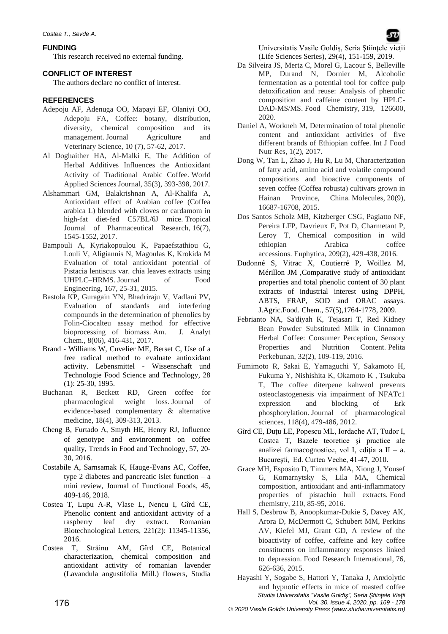## **FUNDING**

This research received no external funding.

## **CONFLICT OF INTEREST**

The authors declare no conflict of interest.

# **REFERENCES**

- Adepoju AF, Adenuga OO, Mapayi EF, Olaniyi OO, Adepoju FA, Coffee: botany, distribution, diversity, chemical composition and its management. Journal Agriculture and Veterinary Science, 10 (7), 57-62, 2017.
- Al Doghaither HA, Al-Malki E, The Addition of Herbal Additives Influences the Antioxidant Activity of Traditional Arabic Coffee. World Applied Sciences Journal, 35(3), 393-398, 2017.
- Alshammari GM, Balakrishnan A, Al-Khalifa A, Antioxidant effect of Arabian coffee (Coffea arabica L) blended with cloves or cardamom in high-fat diet-fed C57BL/6J mice. Tropical Journal of Pharmaceutical Research, 16(7), 1545-1552, 2017.
- Bampouli A, Kyriakopoulou K, Papaefstathiou G, Louli V, Aligiannis N, Magoulas K, Krokida M Evaluation of total antioxidant potential of Pistacia lentiscus var. chia leaves extracts using UHPLC–HRMS. Journal of Food Engineering, 167, 25-31, 2015.
- Bastola KP, Guragain YN, Bhadriraju V, Vadlani PV, Evaluation of standards and interfering compounds in the determination of phenolics by Folin-Ciocalteu assay method for effective bioprocessing of biomass. Am. J. Analyt Chem., 8(06), 416-431, 2017.
- Brand Williams W, Cuvelier ME, Berset C, Use of a free radical method to evaluate antioxidant activity. Lebensmittel - Wissenschaft und Technologie Food Science and Technology, 28 (1): 25-30, 1995.
- Buchanan R, Beckett RD, Green coffee for pharmacological weight loss. Journal of evidence-based complementary & alternative medicine, 18(4), 309-313, 2013.
- Cheng B, Furtado A, Smyth HE, Henry RJ, Influence of genotype and envinronment on coffee quality, Trends in Food and Technology, 57, 20- 30, 2016.
- Costabile A, Sarnsamak K, Hauge-Evans AC, Coffee, type 2 diabetes and pancreatic islet function  $-$  a mini review, Journal of Functional Foods, 45, 409-146, 2018.
- Costea T, Lupu A-R, Vlase L, Nencu I, Gîrd CE, Phenolic content and antioxidant activity of a raspberry leaf dry extract. Romanian Biotechnological Letters, 221(2): 11345-11356, 2016.
- Costea T, Străinu AM, Gîrd CE, Botanical characterization, chemical composition and antioxidant activity of romanian lavender (Lavandula angustifolia Mill.) flowers, Studia

Universitatis Vasile Goldis, Seria Stiintele vietii (Life Sciences Series), 29(4), 151-159, 2019.

- Da Silveira JS, Mertz C, Morel G, Lacour S, Belleville MP, Durand N, Dornier M, Alcoholic fermentation as a potential tool for coffee pulp detoxification and reuse: Analysis of phenolic composition and caffeine content by HPLC-DAD-MS/MS. Food Chemistry, 319, 126600, 2020.
- Daniel A, Workneh M, Determination of total phenolic content and antioxidant activities of five different brands of Ethiopian coffee. Int J Food Nutr Res, 1(2), 2017.
- Dong W, Tan L, Zhao J, Hu R, Lu M, Characterization of fatty acid, amino acid and volatile compound compositions and bioactive components of seven coffee (Coffea robusta) cultivars grown in Hainan Province, China. Molecules, 20(9), 16687-16708, 2015.
- Dos Santos Scholz MB, Kitzberger CSG, Pagiatto NF, Pereira LFP, Davrieux F, Pot D, Charmetant P, Leroy T, Chemical composition in wild ethiopian Arabica coffee accessions. Euphytica, 209(2), 429-438, 2016.
- Dudonné S, Vitrac X, Coutierré P, Woillez M, Mérillon JM ,Comparative study of antioxidant properties and total phenolic content of 30 plant extracts of industrial interest using DPPH, ABTS, FRAP, SOD and ORAC assays. J.Agric.Food. Chem., 57(5),1764-1778, 2009.
- Febrianto NA, Sa'diyah K, Tejasari T, Red Kidney Bean Powder Substituted Milk in Cinnamon Herbal Coffee: Consumer Perception, Sensory Properties and Nutrition Content. Pelita Perkebunan, 32(2), 109-119, 2016.
- Fumimoto R, Sakai E, Yamaguchi Y, Sakamoto H, Fukuma Y, Nishishita K, Okamoto K , Tsukuba T, The coffee diterpene kahweol prevents osteoclastogenesis via impairment of NFATc1 expression and blocking of Erk phosphorylation. Journal of pharmacological sciences, 118(4), 479-486, 2012.
- Gîrd CE, Duţu LE, Popescu ML, Iordache AT, Tudor I, Costea T, Bazele teoretice şi practice ale analizei farmacognostice, vol I, ediția a II – a. Bucureşti, Ed. Curtea Veche, 41-47, 2010.
- Grace MH, Esposito D, Timmers MA, Xiong J, Yousef G, Komarnytsky S, Lila MA, Chemical composition, antioxidant and anti-inflammatory properties of pistachio hull extracts. Food chemistry, 210, 85-95, 2016.
- Hall S, Desbrow B, Anoopkumar-Dukie S, Davey AK, Arora D, McDermott C, Schubert MM, Perkins AV, Kiefel MJ, Grant GD, A review of the bioactivity of coffee, caffeine and key coffee constituents on inflammatory responses linked to depression. Food Research International, 76, 626-636, 2015.
- Hayashi Y, Sogabe S, Hattori Y, Tanaka J, Anxiolytic and hypnotic effects in mice of roasted coffee

*Studia Universitatis "Vasile Goldiş", Seria Ştiinţele Vieţii*

176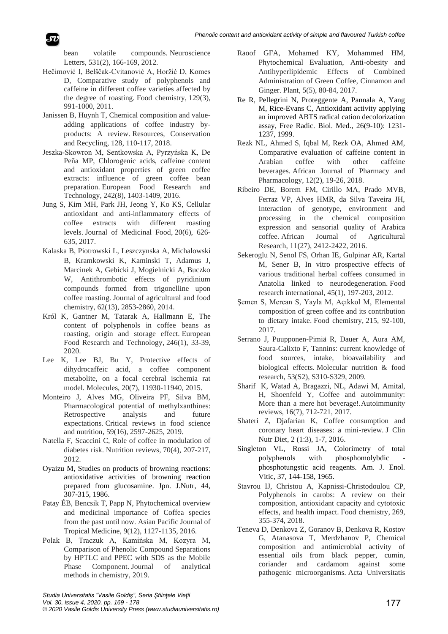bean volatile compounds. Neuroscience Letters, 531(2), 166-169, 2012.

- Hečimović I, Belščak-Cvitanović A, Horžić D, Komes D, Comparative study of polyphenols and caffeine in different coffee varieties affected by the degree of roasting. Food chemistry, 129(3), 991-1000, 2011.
- Janissen B, Huynh T, Chemical composition and valueadding applications of coffee industry byproducts: A review. Resources, Conservation and Recycling, 128, 110-117, 2018.
- Jeszka-Skowron M, Sentkowska A, Pyrzyńska K, De Peña MP, Chlorogenic acids, caffeine content and antioxidant properties of green coffee extracts: influence of green coffee bean preparation. European Food Research and Technology, 242(8), 1403-1409, 2016.
- Jung S, Kim MH, Park JH, Jeong Y, Ko KS, Cellular antioxidant and anti-inflammatory effects of coffee extracts with different roasting levels. Journal of Medicinal Food, 20(6), 626- 635, 2017.
- Kalaska B, Piotrowski L, Leszczynska A, Michalowski B, Kramkowski K, Kaminski T, Adamus J, Marcinek A, Gebicki J, Mogielnicki A, Buczko W, Antithrombotic effects of pyridinium compounds formed from trigonelline upon coffee roasting. Journal of agricultural and food chemistry, 62(13), 2853-2860, 2014.
- Król K, Gantner M, Tatarak A, Hallmann E, The content of polyphenols in coffee beans as roasting, origin and storage effect. European Food Research and Technology, 246(1), 33-39, 2020.
- Lee K, Lee BJ, Bu Y, Protective effects of dihydrocaffeic acid, a coffee component metabolite, on a focal cerebral ischemia rat model. Molecules, 20(7), 11930-11940, 2015.
- Monteiro J, Alves MG, Oliveira PF, Silva BM, Pharmacological potential of methylxanthines: Retrospective analysis and future expectations. Critical reviews in food science and nutrition, 59(16), 2597-2625, 2019.
- Natella F, Scaccini C, Role of coffee in modulation of diabetes risk. Nutrition reviews, 70(4), 207-217, 2012.
- Oyaizu M, Studies on products of browning reactions: antioxidative activities of browning reaction prepared from glucosamine. Jpn. J.Nutr, 44, 307-315, 1986.
- Patay ÉB, Bencsik T, Papp N, Phytochemical overview and medicinal importance of Coffea species from the past until now. Asian Pacific Journal of Tropical Medicine, 9(12), 1127-1135, 2016.
- Polak B, Traczuk A, Kamińska M, Kozyra M, Comparison of Phenolic Compound Separations by HPTLC and PPEC with SDS as the Mobile Phase Component. Journal of analytical methods in chemistry, 2019.
- Raoof GFA, Mohamed KY, Mohammed HM, Phytochemical Evaluation, Anti-obesity and Antihyperlipidemic Effects of Combined Administration of Green Coffee, Cinnamon and Ginger. Plant, 5(5), 80-84, 2017.
- Re R, Pellegrini N, Proteggente A, Pannala A, Yang M, Rice-Evans C, Antioxidant activity applying an improved ABTS radical cation decolorization assay, Free Radic. Biol. Med., 26(9-10): 1231- 1237, 1999.
- Rezk NL, Ahmed S, Iqbal M, Rezk OA, Ahmed AM, Comparative evaluation of caffeine content in Arabian coffee with other caffeine beverages. African Journal of Pharmacy and Pharmacology, 12(2), 19-26, 2018.
- Ribeiro DE, Borem FM, Cirillo MA, Prado MVB, Ferraz VP, Alves HMR, da Silva Taveira JH, Interaction of genotype, environment and processing in the chemical composition expression and sensorial quality of Arabica coffee. African Journal of Agricultural Research, 11(27), 2412-2422, 2016.
- Sekeroglu N, Senol FS, Orhan IE, Gulpinar AR, Kartal M, Sener B, In vitro prospective effects of various traditional herbal coffees consumed in Anatolia linked to neurodegeneration. Food research international, 45(1), 197-203, 2012.
- Şemen S, Mercan S, Yayla M, Açıkkol M, Elemental composition of green coffee and its contribution to dietary intake. Food chemistry, 215, 92-100, 2017.
- Serrano J, Puupponen-Pimiä R, Dauer A, Aura AM, Saura-Calixto F, Tannins: current knowledge of food sources, intake, bioavailability and biological effects. Molecular nutrition & food research, 53(S2), S310-S329, 2009.
- Sharif K, Watad A, Bragazzi, NL, Adawi M, Amital, H, Shoenfeld Y, Coffee and autoimmunity: More than a mere hot beverage!.Autoimmunity reviews, 16(7), 712-721, 2017.
- Shateri Z, Djafarian K, Coffee consumption and coronary heart diseases: a mini-review. J Clin Nutr Diet, 2 (1:3), 1-7, 2016.
- Singleton VL, Rossi JA, Colorimetry of total polyphenols with phosphomolybdic phosphotungstic acid reagents. Am. J. Enol. Vitic, 37, 144-158, 1965.
- Stavrou IJ, Christou A, Kapnissi-Christodoulou CP, Polyphenols in carobs: A review on their composition, antioxidant capacity and cytotoxic effects, and health impact. Food chemistry, 269, 355-374, 2018.
- Teneva D, Denkova Z, Goranov B, Denkova R, Kostov G, Atanasova T, Merdzhanov P, Chemical composition and antimicrobial activity of essential oils from black pepper, cumin, coriander and cardamom against some pathogenic microorganisms. Acta Universitatis